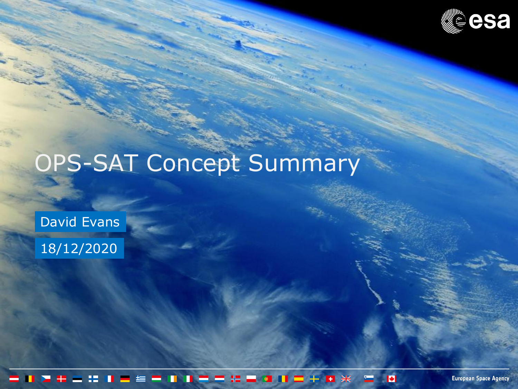

# OPS-SAT Concept Summary

David Evans

18/12/2020

 $\blacktriangleright$ Œ

**European Space Agency**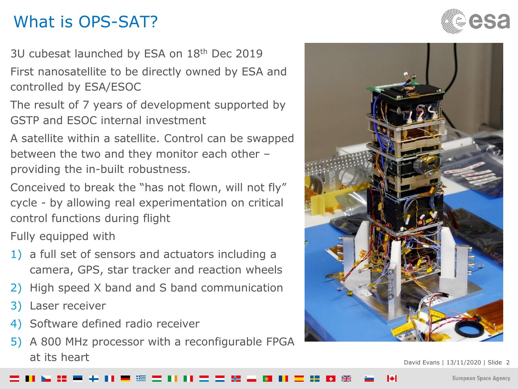## What is OPS-SAT?

3U cubesat launched by ESA on 18<sup>th</sup> Dec 2019

First nanosatellite to be directly owned by ESA and controlled by ESA/ESOC

The result of 7 years of development supported by GSTP and ESOC internal investment

A satellite within a satellite. Control can be swapped between the two and they monitor each other – providing the in-built robustness.

Conceived to break the "has not flown, will not fly" cycle - by allowing real experimentation on critical control functions during flight

Fully equipped with

- 1) a full set of sensors and actuators including a camera, GPS, star tracker and reaction wheels
- 2) High speed X band and S band communication
- 3) Laser receiver
- 4) Software defined radio receiver
- 5) A 800 MHz processor with a reconfigurable FPGA at its heart





**European Space Agency**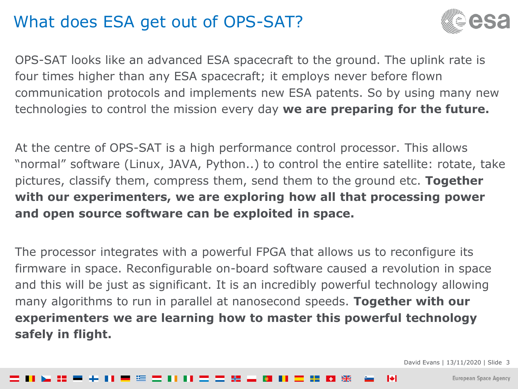### What does ESA get out of OPS-SAT?



OPS-SAT looks like an advanced ESA spacecraft to the ground. The uplink rate is four times higher than any ESA spacecraft; it employs never before flown communication protocols and implements new ESA patents. So by using many new technologies to control the mission every day **we are preparing for the future.**

At the centre of OPS-SAT is a high performance control processor. This allows "normal" software (Linux, JAVA, Python..) to control the entire satellite: rotate, take pictures, classify them, compress them, send them to the ground etc. **Together with our experimenters, we are exploring how all that processing power and open source software can be exploited in space.** 

The processor integrates with a powerful FPGA that allows us to reconfigure its firmware in space. Reconfigurable on-board software caused a revolution in space and this will be just as significant. It is an incredibly powerful technology allowing many algorithms to run in parallel at nanosecond speeds. **Together with our experimenters we are learning how to master this powerful technology safely in flight.**

David Evans | 13/11/2020 | Slide 3